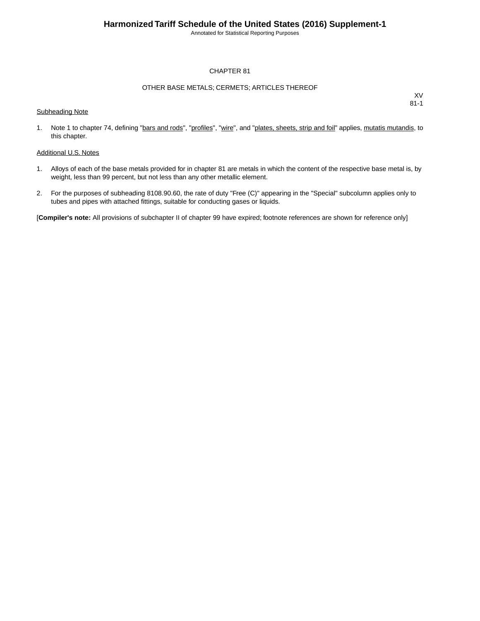Annotated for Statistical Reporting Purposes

#### CHAPTER 81

#### OTHER BASE METALS; CERMETS; ARTICLES THEREOF

Subheading Note

XV 81-1

1. Note 1 to chapter 74, defining "bars and rods", "profiles", "wire", and "plates, sheets, strip and foil" applies, mutatis mutandis, to this chapter.

#### Additional U.S. Notes

- 1. Alloys of each of the base metals provided for in chapter 81 are metals in which the content of the respective base metal is, by weight, less than 99 percent, but not less than any other metallic element.
- 2. For the purposes of subheading 8108.90.60, the rate of duty "Free (C)" appearing in the "Special" subcolumn applies only to tubes and pipes with attached fittings, suitable for conducting gases or liquids.

[**Compiler's note:** All provisions of subchapter II of chapter 99 have expired; footnote references are shown for reference only]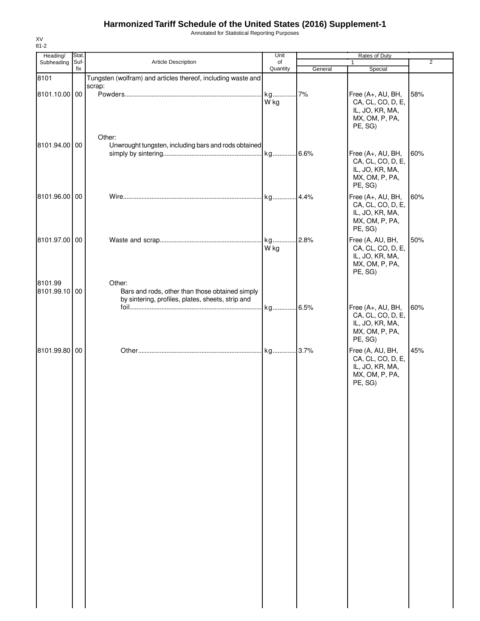Annotated for Statistical Reporting Purposes

| Heading/<br>Subheading   | Stat.<br>Suf- | Article Description                                                                                            |                |         | $\overline{2}$                                                                         |     |
|--------------------------|---------------|----------------------------------------------------------------------------------------------------------------|----------------|---------|----------------------------------------------------------------------------------------|-----|
|                          | fix           |                                                                                                                | of<br>Quantity | General | $\mathbf{1}$<br>Special                                                                |     |
| 8101<br>8101.10.00 00    |               | Tungsten (wolfram) and articles thereof, including waste and<br>scrap:                                         | W kg           | 7%      | Free (A+, AU, BH,<br>CA, CL, CO, D, E,<br>IL, JO, KR, MA,<br>MX, OM, P, PA,<br>PE, SG) | 58% |
| 8101.94.00 00            |               | Other:<br>Unwrought tungsten, including bars and rods obtained                                                 |                |         | Free (A+, AU, BH,<br>CA, CL, CO, D, E,<br>IL, JO, KR, MA,<br>MX, OM, P, PA,<br>PE, SG) | 60% |
| 8101.96.00 00            |               |                                                                                                                |                |         | Free (A+, AU, BH,<br>CA, CL, CO, D, E,<br>IL, JO, KR, MA,<br>MX, OM, P, PA,<br>PE, SG) | 60% |
| 8101.97.00 00            |               |                                                                                                                | W kg           | .2.8%   | Free (A, AU, BH,<br>CA, CL, CO, D, E,<br>IL, JO, KR, MA,<br>MX, OM, P, PA,<br>PE, SG)  | 50% |
| 8101.99<br>8101.99.10 00 |               | Other:<br>Bars and rods, other than those obtained simply<br>by sintering, profiles, plates, sheets, strip and |                |         | Free (A+, AU, BH,<br>CA, CL, CO, D, E,<br>IL, JO, KR, MA,<br>MX, OM, P, PA,<br>PE, SG) | 60% |
| 8101.99.80 00            |               |                                                                                                                |                |         | Free (A, AU, BH,<br>CA, CL, CO, D, E,<br>IL, JO, KR, MA,<br>MX, OM, P, PA,<br>PE, SG)  | 45% |
|                          |               |                                                                                                                |                |         |                                                                                        |     |
|                          |               |                                                                                                                |                |         |                                                                                        |     |
|                          |               |                                                                                                                |                |         |                                                                                        |     |

XV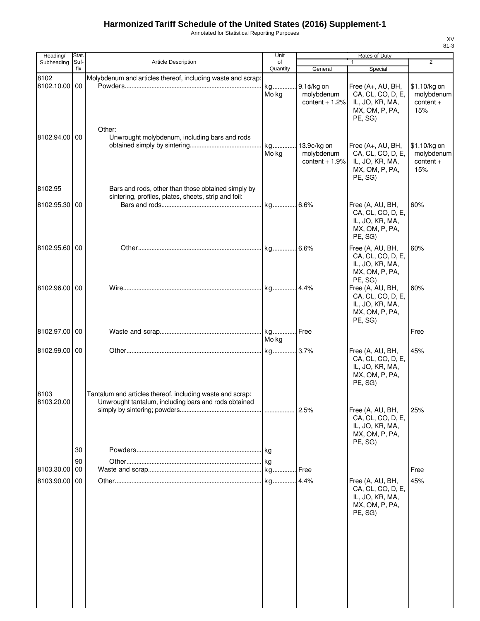Annotated for Statistical Reporting Purposes

| Heading/      | Stat.       |                                                                                                            | Unit           | Rates of Duty                 |                                        |                            |
|---------------|-------------|------------------------------------------------------------------------------------------------------------|----------------|-------------------------------|----------------------------------------|----------------------------|
| Subheading    | Suf-<br>fix | <b>Article Description</b>                                                                                 | of<br>Quantity | General                       | $\mathbf{1}$<br>Special                | 2                          |
| 8102          |             | Molybdenum and articles thereof, including waste and scrap:                                                |                |                               |                                        |                            |
| 8102.10.00 00 |             |                                                                                                            | Mo kg          | molybdenum                    | Free (A+, AU, BH,<br>CA, CL, CO, D, E, | \$1.10/kg on<br>molybdenum |
|               |             |                                                                                                            |                | content $+1.2%$               | IL, JO, KR, MA,                        | $content +$                |
|               |             |                                                                                                            |                |                               | MX, OM, P, PA,                         | 15%                        |
|               |             | Other:                                                                                                     |                |                               | PE, SG)                                |                            |
| 8102.94.00 00 |             | Unwrought molybdenum, including bars and rods                                                              |                |                               |                                        |                            |
|               |             |                                                                                                            |                | 13.9¢/kg on                   | Free (A+, AU, BH,                      | \$1.10/kg on               |
|               |             |                                                                                                            | Mo kg          | molybdenum<br>content $+1.9%$ | CA, CL, CO, D, E,<br>IL, JO, KR, MA,   | molybdenum<br>$content +$  |
|               |             |                                                                                                            |                |                               | MX, OM, P, PA,                         | 15%                        |
|               |             |                                                                                                            |                |                               | PE, SG)                                |                            |
| 8102.95       |             | Bars and rods, other than those obtained simply by<br>sintering, profiles, plates, sheets, strip and foil: |                |                               |                                        |                            |
| 8102.95.30 00 |             |                                                                                                            |                |                               | Free (A, AU, BH,                       | 60%                        |
|               |             |                                                                                                            |                |                               | CA, CL, CO, D, E,<br>IL, JO, KR, MA,   |                            |
|               |             |                                                                                                            |                |                               | MX, OM, P, PA,                         |                            |
|               |             |                                                                                                            |                |                               | PE, SG)                                |                            |
| 8102.95.60 00 |             |                                                                                                            |                |                               | Free (A, AU, BH,<br>CA, CL, CO, D, E,  | 60%                        |
|               |             |                                                                                                            |                |                               | IL, JO, KR, MA,                        |                            |
|               |             |                                                                                                            |                |                               | MX, OM, P, PA,                         |                            |
| 8102.96.00 00 |             |                                                                                                            |                |                               | PE, SG)<br>Free (A, AU, BH,            | 60%                        |
|               |             |                                                                                                            |                |                               | CA, CL, CO, D, E,                      |                            |
|               |             |                                                                                                            |                |                               | IL, JO, KR, MA,<br>MX, OM, P, PA,      |                            |
|               |             |                                                                                                            |                |                               | PE, SG)                                |                            |
| 8102.97.00 00 |             |                                                                                                            |                |                               |                                        | Free                       |
|               |             |                                                                                                            | Mo kg          |                               |                                        |                            |
| 8102.99.00 00 |             |                                                                                                            |                |                               | Free (A, AU, BH,<br>CA, CL, CO, D, E,  | 45%                        |
|               |             |                                                                                                            |                |                               | IL, JO, KR, MA,                        |                            |
|               |             |                                                                                                            |                |                               | MX, OM, P, PA,<br>PE, SG)              |                            |
| 8103          |             | Tantalum and articles thereof, including waste and scrap:                                                  |                |                               |                                        |                            |
| 8103.20.00    |             | Unwrought tantalum, including bars and rods obtained                                                       |                |                               |                                        |                            |
|               |             |                                                                                                            |                |                               | Free (A, AU, BH,<br>CA, CL, CO, D, E,  | 25%                        |
|               |             |                                                                                                            |                |                               | IL, JO, KR, MA,                        |                            |
|               |             |                                                                                                            |                |                               | MX, OM, P, PA,<br>PE, SG)              |                            |
|               | 30          |                                                                                                            |                |                               |                                        |                            |
|               | 90          |                                                                                                            |                |                               |                                        |                            |
| 8103.30.00    | 00          |                                                                                                            |                |                               |                                        | Free                       |
| 8103.90.00 00 |             |                                                                                                            |                |                               | Free (A, AU, BH,<br>CA, CL, CO, D, E,  | 45%                        |
|               |             |                                                                                                            |                |                               | IL, JO, KR, MA,                        |                            |
|               |             |                                                                                                            |                |                               | MX, OM, P, PA,                         |                            |
|               |             |                                                                                                            |                |                               | PE, SG)                                |                            |
|               |             |                                                                                                            |                |                               |                                        |                            |
|               |             |                                                                                                            |                |                               |                                        |                            |
|               |             |                                                                                                            |                |                               |                                        |                            |
|               |             |                                                                                                            |                |                               |                                        |                            |
|               |             |                                                                                                            |                |                               |                                        |                            |
|               |             |                                                                                                            |                |                               |                                        |                            |
|               |             |                                                                                                            |                |                               |                                        |                            |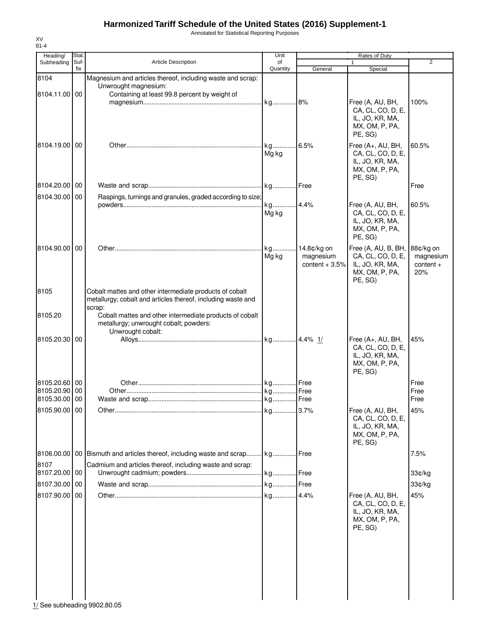Annotated for Statistical Reporting Purposes

| Heading/                    | Stat.       |                                                                                                                         | Unit           |                 | Rates of Duty                        |                |
|-----------------------------|-------------|-------------------------------------------------------------------------------------------------------------------------|----------------|-----------------|--------------------------------------|----------------|
| Subheading                  | Suf-<br>fix | <b>Article Description</b>                                                                                              | of<br>Quantity | General         | 1<br>Special                         | $\overline{2}$ |
| 8104                        |             | Magnesium and articles thereof, including waste and scrap:                                                              |                |                 |                                      |                |
|                             |             | Unwrought magnesium:                                                                                                    |                |                 |                                      |                |
| 8104.11.00 00               |             | Containing at least 99.8 percent by weight of                                                                           |                |                 |                                      |                |
|                             |             |                                                                                                                         | kg 8%          |                 | Free (A, AU, BH,                     | 100%           |
|                             |             |                                                                                                                         |                |                 | CA, CL, CO, D, E,<br>IL, JO, KR, MA, |                |
|                             |             |                                                                                                                         |                |                 | MX, OM, P, PA,                       |                |
|                             |             |                                                                                                                         |                |                 | PE, SG)                              |                |
| 8104.19.00                  | 00          |                                                                                                                         |                | 6.5%            | Free (A+, AU, BH,                    | 60.5%          |
|                             |             |                                                                                                                         | Mg kg          |                 | CA, CL, CO, D, E,                    |                |
|                             |             |                                                                                                                         |                |                 | IL, JO, KR, MA,<br>MX, OM, P, PA,    |                |
|                             |             |                                                                                                                         |                |                 | PE, SG)                              |                |
| 8104.20.00                  | 00          |                                                                                                                         |                |                 |                                      | Free           |
| 8104.30.00                  | 00          | Raspings, turnings and granules, graded according to size;                                                              |                |                 |                                      |                |
|                             |             |                                                                                                                         | kg 4.4%        |                 | Free (A, AU, BH,                     | 60.5%          |
|                             |             |                                                                                                                         | Mg kg          |                 | CA, CL, CO, D, E,                    |                |
|                             |             |                                                                                                                         |                |                 | IL, JO, KR, MA,<br>MX, OM, P, PA,    |                |
|                             |             |                                                                                                                         |                |                 | PE, SG)                              |                |
| 8104.90.00                  | 00          |                                                                                                                         | kg             | 14.8¢/kg on     | Free (A, AU, B, BH,                  | 88¢/kg on      |
|                             |             |                                                                                                                         | Mg kg          | magnesium       | CA, CL, CO, D, E,                    | magnesium      |
|                             |             |                                                                                                                         |                | content $+3.5%$ | IL, JO, KR, MA,                      | $content +$    |
|                             |             |                                                                                                                         |                |                 | MX, OM, P, PA,                       | 20%            |
|                             |             |                                                                                                                         |                |                 | PE, SG)                              |                |
| 8105                        |             | Cobalt mattes and other intermediate products of cobalt<br>metallurgy; cobalt and articles thereof, including waste and |                |                 |                                      |                |
|                             |             | scrap:                                                                                                                  |                |                 |                                      |                |
| 8105.20                     |             | Cobalt mattes and other intermediate products of cobalt                                                                 |                |                 |                                      |                |
|                             |             | metallurgy; unwrought cobalt; powders:                                                                                  |                |                 |                                      |                |
| 8105.20.30                  | 00          | Unwrought cobalt:                                                                                                       |                |                 | Free (A+, AU, BH,                    | 45%            |
|                             |             |                                                                                                                         |                |                 | CA, CL, CO, D, E,                    |                |
|                             |             |                                                                                                                         |                |                 | IL, JO, KR, MA,                      |                |
|                             |             |                                                                                                                         |                |                 | MX, OM, P, PA,<br>PE, SG)            |                |
|                             |             |                                                                                                                         |                |                 |                                      |                |
| 8105.20.60 00<br>8105.20.90 | 00          |                                                                                                                         |                |                 |                                      | Free<br>Free   |
| 8105.30.00 00               |             |                                                                                                                         |                |                 |                                      | Free           |
| 8105.90.00 00               |             |                                                                                                                         | kg             | .3.7%           | Free (A, AU, BH,                     | 45%            |
|                             |             |                                                                                                                         |                |                 | CA, CL, CO, D, E,                    |                |
|                             |             |                                                                                                                         |                |                 | IL, JO, KR, MA,                      |                |
|                             |             |                                                                                                                         |                |                 | MX, OM, P, PA,<br>PE. SG)            |                |
|                             |             |                                                                                                                         |                |                 |                                      |                |
| 8106.00.00                  |             | 00 Bismuth and articles thereof, including waste and scrap kg Free                                                      |                |                 |                                      | 7.5%           |
| 8107<br>8107.20.00          | 00          | Cadmium and articles thereof, including waste and scrap:                                                                | . kg Free      |                 |                                      |                |
|                             |             |                                                                                                                         |                |                 |                                      | 33¢/kg         |
| 8107.30.00 00               |             |                                                                                                                         |                |                 |                                      | 33¢/kg         |
| 8107.90.00                  | 00          |                                                                                                                         |                |                 | Free (A, AU, BH,                     | 45%            |
|                             |             |                                                                                                                         |                |                 | CA, CL, CO, D, E,<br>IL, JO, KR, MA, |                |
|                             |             |                                                                                                                         |                |                 | MX, OM, P, PA,                       |                |
|                             |             |                                                                                                                         |                |                 | PE, SG)                              |                |
|                             |             |                                                                                                                         |                |                 |                                      |                |
|                             |             |                                                                                                                         |                |                 |                                      |                |
|                             |             |                                                                                                                         |                |                 |                                      |                |
|                             |             |                                                                                                                         |                |                 |                                      |                |
|                             |             |                                                                                                                         |                |                 |                                      |                |
|                             |             |                                                                                                                         |                |                 |                                      |                |
|                             |             |                                                                                                                         |                |                 |                                      |                |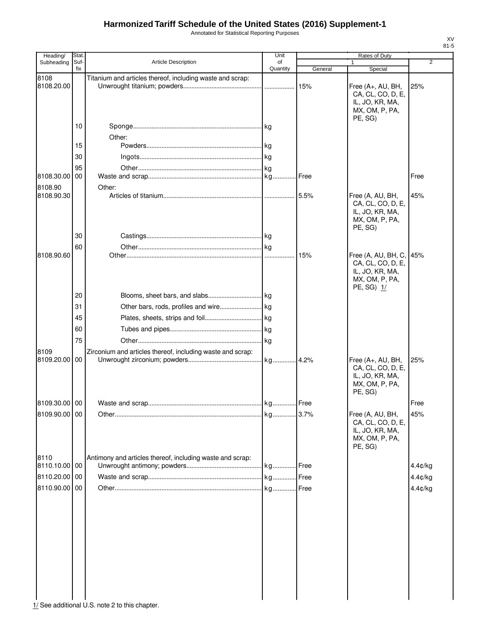Annotated for Statistical Reporting Purposes

| Heading/           | Stat. |                                                            | Unit     |         | Rates of Duty                          |         |
|--------------------|-------|------------------------------------------------------------|----------|---------|----------------------------------------|---------|
| Subheading         | Suf-  | <b>Article Description</b>                                 | of       |         | 1                                      | 2       |
|                    | fix   |                                                            | Quantity | General | Special                                |         |
| 8108               |       | Titanium and articles thereof, including waste and scrap:  |          |         |                                        |         |
| 8108.20.00         |       |                                                            |          | 15%     | Free (A+, AU, BH,<br>CA, CL, CO, D, E, | 25%     |
|                    |       |                                                            |          |         | IL, JO, KR, MA,                        |         |
|                    |       |                                                            |          |         | MX, OM, P, PA,                         |         |
|                    |       |                                                            |          |         | PE, SG)                                |         |
|                    | 10    |                                                            |          |         |                                        |         |
|                    |       | Other:                                                     |          |         |                                        |         |
|                    | 15    |                                                            |          |         |                                        |         |
|                    |       |                                                            |          |         |                                        |         |
|                    | 30    |                                                            |          |         |                                        |         |
|                    | 95    |                                                            |          |         |                                        |         |
| 8108.30.00         | 00    |                                                            |          | .l Free |                                        | Free    |
| 8108.90            |       | Other:                                                     |          |         |                                        |         |
| 8108.90.30         |       |                                                            |          | 5.5%    | Free (A, AU, BH,                       | 45%     |
|                    |       |                                                            |          |         | CA, CL, CO, D, E,                      |         |
|                    |       |                                                            |          |         | IL, JO, KR, MA,                        |         |
|                    |       |                                                            |          |         | MX, OM, P, PA,                         |         |
|                    |       |                                                            |          |         | PE, SG)                                |         |
|                    | 30    |                                                            |          |         |                                        |         |
|                    | 60    |                                                            |          |         |                                        |         |
| 8108.90.60         |       |                                                            |          | 15%     | Free (A, AU, BH, C, 45%                |         |
|                    |       |                                                            |          |         | CA, CL, CO, D, E,                      |         |
|                    |       |                                                            |          |         | IL, JO, KR, MA,                        |         |
|                    |       |                                                            |          |         | MX, OM, P, PA,                         |         |
|                    | 20    |                                                            |          |         | PE, SG) 1/                             |         |
|                    |       |                                                            |          |         |                                        |         |
|                    | 31    |                                                            |          |         |                                        |         |
|                    | 45    |                                                            |          |         |                                        |         |
|                    | 60    |                                                            |          |         |                                        |         |
|                    | 75    |                                                            |          |         |                                        |         |
|                    |       |                                                            |          |         |                                        |         |
| 8109<br>8109.20.00 | 00    | Zirconium and articles thereof, including waste and scrap: |          |         |                                        | 25%     |
|                    |       |                                                            |          |         | Free (A+, AU, BH,<br>CA, CL, CO, D, E, |         |
|                    |       |                                                            |          |         | IL, JO, KR, MA,                        |         |
|                    |       |                                                            |          |         | MX, OM, P, PA,                         |         |
|                    |       |                                                            |          |         | PE, SG)                                |         |
| 8109.30.00 00      |       |                                                            |          |         |                                        | Free    |
|                    |       |                                                            |          |         |                                        |         |
| 8109.90.00 00      |       |                                                            |          |         | Free (A, AU, BH,                       | 45%     |
|                    |       |                                                            |          |         | CA, CL, CO, D, E,<br>IL, JO, KR, MA,   |         |
|                    |       |                                                            |          |         | MX, OM, P, PA,                         |         |
|                    |       |                                                            |          |         | PE, SG)                                |         |
| 8110               |       | Antimony and articles thereof, including waste and scrap:  |          |         |                                        |         |
| 8110.10.00 00      |       |                                                            | . kg     | . Free  |                                        | 4.4¢/kg |
|                    |       |                                                            |          |         |                                        |         |
| 8110.20.00         | 00    |                                                            |          |         |                                        | 4.4¢/kg |
| 8110.90.00         | 00    |                                                            |          |         |                                        | 4.4¢/kg |
|                    |       |                                                            |          |         |                                        |         |
|                    |       |                                                            |          |         |                                        |         |
|                    |       |                                                            |          |         |                                        |         |
|                    |       |                                                            |          |         |                                        |         |
|                    |       |                                                            |          |         |                                        |         |
|                    |       |                                                            |          |         |                                        |         |
|                    |       |                                                            |          |         |                                        |         |
|                    |       |                                                            |          |         |                                        |         |
|                    |       |                                                            |          |         |                                        |         |
|                    |       |                                                            |          |         |                                        |         |
|                    |       |                                                            |          |         |                                        |         |
|                    |       |                                                            |          |         |                                        |         |
|                    |       |                                                            |          |         |                                        |         |

1/ See additional U.S. note 2 to this chapter.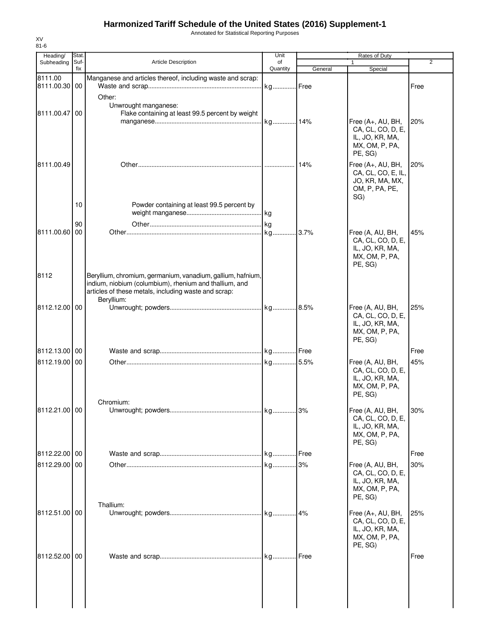Annotated for Statistical Reporting Purposes

| Heading/                 | <b>Stat</b> |                                                                                                                                                                                             | Unit     |         | Rates of Duty                                                                         |                |
|--------------------------|-------------|---------------------------------------------------------------------------------------------------------------------------------------------------------------------------------------------|----------|---------|---------------------------------------------------------------------------------------|----------------|
| Subheading               | Suf-        | <b>Article Description</b>                                                                                                                                                                  | of       |         | 1                                                                                     | $\overline{2}$ |
|                          | fix         |                                                                                                                                                                                             | Quantity | General | Special                                                                               |                |
| 8111.00<br>8111.00.30 00 |             | Manganese and articles thereof, including waste and scrap:                                                                                                                                  | . kg     | Free    |                                                                                       | Free           |
|                          |             | Other:<br>Unwrought manganese:                                                                                                                                                              |          |         |                                                                                       |                |
| 8111.00.47 00            |             | Flake containing at least 99.5 percent by weight                                                                                                                                            |          |         | Free (A+, AU, BH,<br>CA, CL, CO, D, E,                                                | 20%            |
|                          |             |                                                                                                                                                                                             |          |         | IL, JO, KR, MA,<br>MX, OM, P, PA,<br>PE, SG)                                          |                |
| 8111.00.49               |             |                                                                                                                                                                                             |          | 14%     | Free (A+, AU, BH,<br>CA, CL, CO, E, IL,<br>JO, KR, MA, MX,<br>OM, P, PA, PE,<br>SG)   | 20%            |
|                          | 10          | Powder containing at least 99.5 percent by                                                                                                                                                  |          |         |                                                                                       |                |
|                          | 90          |                                                                                                                                                                                             |          |         |                                                                                       |                |
| 8111.00.60               | 00          |                                                                                                                                                                                             |          |         | Free (A, AU, BH,<br>CA, CL, CO, D, E,<br>IL, JO, KR, MA,<br>MX, OM, P, PA,<br>PE, SG) | 45%            |
| 8112                     |             | Beryllium, chromium, germanium, vanadium, gallium, hafnium,<br>indium, niobium (columbium), rhenium and thallium, and<br>articles of these metals, including waste and scrap:<br>Beryllium: |          |         |                                                                                       |                |
| 8112.12.00 00            |             |                                                                                                                                                                                             |          |         | Free (A, AU, BH,<br>CA, CL, CO, D, E,<br>IL, JO, KR, MA,<br>MX, OM, P, PA,<br>PE, SG) | 25%            |
| 8112.13.00 00            |             |                                                                                                                                                                                             |          |         |                                                                                       | Free           |
| 8112.19.00 00            |             |                                                                                                                                                                                             |          |         | Free (A, AU, BH,<br>CA, CL, CO, D, E,<br>IL, JO, KR, MA,<br>MX, OM, P, PA,<br>PE, SG) | 45%            |
| 8112.21.00 00            |             | Chromium:                                                                                                                                                                                   |          | 3%      | Free (A, AU, BH,<br>CA, CL, CO, D, E,<br>IL, JO, KR, MA,<br>MX, OM, P, PA,<br>PE, SG) | 30%            |
| 8112.22.00 00            |             |                                                                                                                                                                                             |          |         |                                                                                       | Free           |
| 8112.29.00 00            |             |                                                                                                                                                                                             |          |         | Free (A, AU, BH,<br>CA, CL, CO, D, E,<br>IL, JO, KR, MA,<br>MX, OM, P, PA,<br>PE, SG) | 30%            |
| 8112.51.00 00            |             | Thallium:                                                                                                                                                                                   |          | 4%      | Free (A+, AU, BH,<br>CA, CL, CO, D, E,<br>IL, JO, KR, MA,<br>MX, OM, P, PA,           | 25%            |
| 8112.52.00 00            |             |                                                                                                                                                                                             |          | Free    | PE, SG)                                                                               | Free           |
|                          |             |                                                                                                                                                                                             |          |         |                                                                                       |                |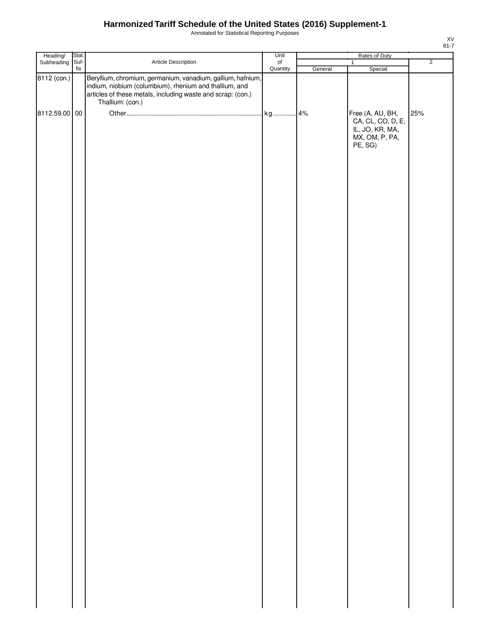Annotated for Statistical Reporting Purposes

| Heading/      | Stat. |                                                                                                                                                                                                          | Unit             | Rates of Duty |                                                                                       |                |  |
|---------------|-------|----------------------------------------------------------------------------------------------------------------------------------------------------------------------------------------------------------|------------------|---------------|---------------------------------------------------------------------------------------|----------------|--|
| Subheading    | Suf-  | Article Description                                                                                                                                                                                      | $_{\mathsf{of}}$ |               | $\overline{1}$                                                                        | $\overline{2}$ |  |
| 8112 (con.)   | fix   | Beryllium, chromium, germanium, vanadium, gallium, hafnium,<br>indium, niobium (columbium), rhenium and thallium, and<br>articles of these metals, including waste and scrap: (con.)<br>Thallium: (con.) | Quantity         | General       | Special                                                                               |                |  |
| 8112.59.00 00 |       |                                                                                                                                                                                                          |                  |               | Free (A, AU, BH,<br>CA, CL, CO, D, E,<br>IL, JO, KR, MA,<br>MX, OM, P, PA,<br>PE, SG) | 25%            |  |
|               |       |                                                                                                                                                                                                          |                  |               |                                                                                       |                |  |